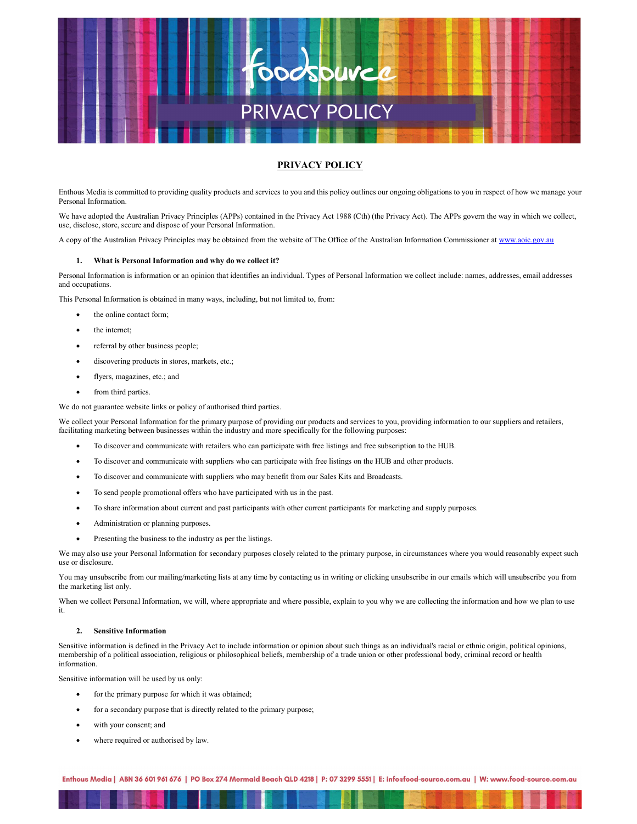

# PRIVACY POLICY

Enthous Media is committed to providing quality products and services to you and this policy outlines our ongoing obligations to you in respect of how we manage your Personal Information.

We have adopted the Australian Privacy Principles (APPs) contained in the Privacy Act 1988 (Cth) (the Privacy Act). The APPs govern the way in which we collect, use, disclose, store, secure and dispose of your Personal Information.

A copy of the Australian Privacy Principles may be obtained from the website of The Office of the Australian Information Commissioner at www.aoic.gov.au

# 1. What is Personal Information and why do we collect it?

Personal Information is information or an opinion that identifies an individual. Types of Personal Information we collect include: names, addresses, email addresses and occupations.

This Personal Information is obtained in many ways, including, but not limited to, from:

- the online contact form;
- the internet;
- referral by other business people;
- discovering products in stores, markets, etc.;
- flyers, magazines, etc.; and
- from third parties.

We do not guarantee website links or policy of authorised third parties.

We collect your Personal Information for the primary purpose of providing our products and services to you, providing information to our suppliers and retailers, facilitating marketing between businesses within the industry and more specifically for the following purposes:

- To discover and communicate with retailers who can participate with free listings and free subscription to the HUB.
- To discover and communicate with suppliers who can participate with free listings on the HUB and other products.
- To discover and communicate with suppliers who may benefit from our Sales Kits and Broadcasts.
- To send people promotional offers who have participated with us in the past.
- To share information about current and past participants with other current participants for marketing and supply purposes.
- Administration or planning purposes.
- Presenting the business to the industry as per the listings.

We may also use your Personal Information for secondary purposes closely related to the primary purpose, in circumstances where you would reasonably expect such use or disclosure.

You may unsubscribe from our mailing/marketing lists at any time by contacting us in writing or clicking unsubscribe in our emails which will unsubscribe you from the marketing list only.

When we collect Personal Information, we will, where appropriate and where possible, explain to you why we are collecting the information and how we plan to use it.

## 2. Sensitive Information

Sensitive information is defined in the Privacy Act to include information or opinion about such things as an individual's racial or ethnic origin, political opinions, membership of a political association, religious or philosophical beliefs, membership of a trade union or other professional body, criminal record or health information.

Sensitive information will be used by us only:

- for the primary purpose for which it was obtained;
- for a secondary purpose that is directly related to the primary purpose;
- with your consent; and
- where required or authorised by law.

Enthous Media | ABN 36 601 961 676 | PO Box 274 Mermaid Beach QLD 4218 | P: 07 3299 5551 | E: inforfood-source.com.au | W: www.food-source.com.au